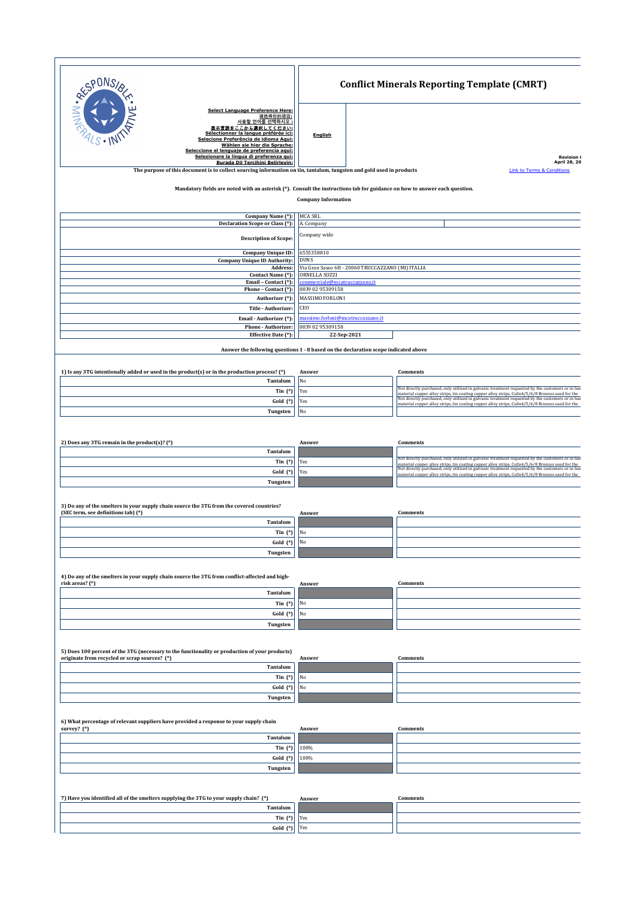| <b>PONS</b>                                                                            |                                                                                                                                                                                                                                                                                                                                                            |                                                       | <b>Conflict Minerals Reporting Template (CMRT)</b> |                                                                                                                                                                                                                                                                                                                                                                                                                              |  |  |  |
|----------------------------------------------------------------------------------------|------------------------------------------------------------------------------------------------------------------------------------------------------------------------------------------------------------------------------------------------------------------------------------------------------------------------------------------------------------|-------------------------------------------------------|----------------------------------------------------|------------------------------------------------------------------------------------------------------------------------------------------------------------------------------------------------------------------------------------------------------------------------------------------------------------------------------------------------------------------------------------------------------------------------------|--|--|--|
| JNIN-REP                                                                               | <b>Select Language Preference Here:</b><br>请选择你的语言;<br><u>사용할 언어를 선택하시오 :</u><br>表示言語をここから選択してください:<br>Sélectionner la langue préférée ici:<br>Selecione Preferência de idioma Aqui:<br>Wählen sie hier die Sprache:<br>Seleccione el lenguaje de preferencia aqui:<br>Selezionare la lingua di preferenza qui:<br><b>Burada Dil Tercihini Belirleyin:</b> | <b>English</b>                                        |                                                    | <b>Revision (</b><br>April 28, 20                                                                                                                                                                                                                                                                                                                                                                                            |  |  |  |
|                                                                                        | The purpose of this document is to collect sourcing information on tin, tantalum, tungsten and gold used in products                                                                                                                                                                                                                                       |                                                       |                                                    | <b>Link to Terms &amp; Conditions</b>                                                                                                                                                                                                                                                                                                                                                                                        |  |  |  |
|                                                                                        | Mandatory fields are noted with an asterisk (*). Consult the instructions tab for guidance on how to answer each question.                                                                                                                                                                                                                                 | <b>Company Information</b>                            |                                                    |                                                                                                                                                                                                                                                                                                                                                                                                                              |  |  |  |
|                                                                                        | Company Name (*):<br>Declaration Scope or Class (*):                                                                                                                                                                                                                                                                                                       | MCA SRL<br>A. Company                                 |                                                    |                                                                                                                                                                                                                                                                                                                                                                                                                              |  |  |  |
|                                                                                        | <b>Description of Scope:</b>                                                                                                                                                                                                                                                                                                                               | Company wide                                          |                                                    |                                                                                                                                                                                                                                                                                                                                                                                                                              |  |  |  |
|                                                                                        | <b>Company Unique ID:</b><br><b>Company Unique ID Authority:</b><br>Address:                                                                                                                                                                                                                                                                               | 6555358810<br><b>DUNS</b>                             | Via Gran Sasso 6H - 20060 TRUCCAZZANO (MI) ITALIA  |                                                                                                                                                                                                                                                                                                                                                                                                                              |  |  |  |
|                                                                                        | Contact Name (*):                                                                                                                                                                                                                                                                                                                                          | ORNELLA SOZZI                                         |                                                    |                                                                                                                                                                                                                                                                                                                                                                                                                              |  |  |  |
|                                                                                        | Email - Contact (*):<br>Phone - Contact (*):                                                                                                                                                                                                                                                                                                               | commerciale@mcatruccazzano.it<br>0039 02 95309158     |                                                    |                                                                                                                                                                                                                                                                                                                                                                                                                              |  |  |  |
|                                                                                        | Authorizer (*):                                                                                                                                                                                                                                                                                                                                            | MASSIMO FORLONI                                       |                                                    |                                                                                                                                                                                                                                                                                                                                                                                                                              |  |  |  |
|                                                                                        | Title - Authorizer:                                                                                                                                                                                                                                                                                                                                        | CEO                                                   |                                                    |                                                                                                                                                                                                                                                                                                                                                                                                                              |  |  |  |
|                                                                                        | Email - Authorizer (*):<br>Phone - Authorizer:                                                                                                                                                                                                                                                                                                             | massimo.forloni@mcatruccazzano.it<br>0039 02 95309158 |                                                    |                                                                                                                                                                                                                                                                                                                                                                                                                              |  |  |  |
|                                                                                        | Effective Date (*):                                                                                                                                                                                                                                                                                                                                        |                                                       | 22-Sep-2021                                        |                                                                                                                                                                                                                                                                                                                                                                                                                              |  |  |  |
|                                                                                        | Answer the following questions 1 - 8 based on the declaration scope indicated above                                                                                                                                                                                                                                                                        |                                                       |                                                    |                                                                                                                                                                                                                                                                                                                                                                                                                              |  |  |  |
|                                                                                        | 1) Is any 3TG intentionally added or used in the product(s) or in the production process? (*)<br>Tantalum                                                                                                                                                                                                                                                  | Answer<br>No                                          |                                                    | <b>Comments</b>                                                                                                                                                                                                                                                                                                                                                                                                              |  |  |  |
|                                                                                        | Tin $(*)$                                                                                                                                                                                                                                                                                                                                                  | Yes                                                   |                                                    | Not directly purchased, only utilized in galvanic treatment requested by the customers or in bas                                                                                                                                                                                                                                                                                                                             |  |  |  |
|                                                                                        | Gold (*)                                                                                                                                                                                                                                                                                                                                                   | Yes                                                   |                                                    | material copper alloy strips, tin coating copper alloy strips, CuSn4/5/6/8 Bronzes used for the Not directly purchased, only utilized in galvanic treatment requested by the customers or in bas<br>material copper alloy strips, tin coating copper alloy strips, CuSn4/5/6/8 Bronzes used for the                                                                                                                          |  |  |  |
|                                                                                        | Tungsten                                                                                                                                                                                                                                                                                                                                                   | No                                                    |                                                    |                                                                                                                                                                                                                                                                                                                                                                                                                              |  |  |  |
| 2) Does any 3TG remain in the product(s)? (*)                                          | Tantalum<br>Tin $(*)$<br>Gold (*)<br>Tungsten                                                                                                                                                                                                                                                                                                              | Answer<br>Yes<br>Yes                                  |                                                    | <b>Comments</b><br>Not directly purchased, only utilized in galvanic treatment requested by the customers or in bas<br>material copper alloy strips, tin coating copper alloy strips, $CuSn4/5/6/8$ Bronzes used for the Not directly purchased, only utilized in galvanic treatment requested by the customers or in bas<br>material copper alloy strips, tin coating copper alloy strips, CuSn4/5/6/8 Bronzes used for the |  |  |  |
| (SEC term, see definitions tab) (*)                                                    | 3) Do any of the smelters in your supply chain source the 3TG from the covered countries?<br>Tantalum                                                                                                                                                                                                                                                      | Answer                                                |                                                    | <b>Comments</b>                                                                                                                                                                                                                                                                                                                                                                                                              |  |  |  |
|                                                                                        | Tin $(*)$                                                                                                                                                                                                                                                                                                                                                  | No                                                    |                                                    |                                                                                                                                                                                                                                                                                                                                                                                                                              |  |  |  |
|                                                                                        | Gold (*)                                                                                                                                                                                                                                                                                                                                                   | $_{\rm No}$                                           |                                                    |                                                                                                                                                                                                                                                                                                                                                                                                                              |  |  |  |
|                                                                                        | Tungsten                                                                                                                                                                                                                                                                                                                                                   |                                                       |                                                    |                                                                                                                                                                                                                                                                                                                                                                                                                              |  |  |  |
| risk areas? (*)                                                                        | 4) Do any of the smelters in your supply chain source the 3TG from conflict-affected and high-                                                                                                                                                                                                                                                             | Answer                                                |                                                    | Comments                                                                                                                                                                                                                                                                                                                                                                                                                     |  |  |  |
|                                                                                        | Tantalum                                                                                                                                                                                                                                                                                                                                                   |                                                       |                                                    |                                                                                                                                                                                                                                                                                                                                                                                                                              |  |  |  |
|                                                                                        | Tin $(*)$                                                                                                                                                                                                                                                                                                                                                  | No                                                    |                                                    |                                                                                                                                                                                                                                                                                                                                                                                                                              |  |  |  |
|                                                                                        | $Gold$ $(*)$<br>Tungsten                                                                                                                                                                                                                                                                                                                                   | No                                                    |                                                    |                                                                                                                                                                                                                                                                                                                                                                                                                              |  |  |  |
| originate from recycled or scrap sources? (*)                                          | 5) Does 100 percent of the 3TG (necessary to the functionality or production of your products)                                                                                                                                                                                                                                                             | Answer                                                |                                                    | <b>Comments</b>                                                                                                                                                                                                                                                                                                                                                                                                              |  |  |  |
|                                                                                        | Tantalum                                                                                                                                                                                                                                                                                                                                                   |                                                       |                                                    |                                                                                                                                                                                                                                                                                                                                                                                                                              |  |  |  |
|                                                                                        | Tin $(*)$                                                                                                                                                                                                                                                                                                                                                  | No                                                    |                                                    |                                                                                                                                                                                                                                                                                                                                                                                                                              |  |  |  |
|                                                                                        | Gold (*)                                                                                                                                                                                                                                                                                                                                                   | No                                                    |                                                    |                                                                                                                                                                                                                                                                                                                                                                                                                              |  |  |  |
|                                                                                        | Tungsten                                                                                                                                                                                                                                                                                                                                                   |                                                       |                                                    |                                                                                                                                                                                                                                                                                                                                                                                                                              |  |  |  |
| survey? (*)                                                                            | 6) What percentage of relevant suppliers have provided a response to your supply chain<br>Tantalum<br>Tin $(*)$                                                                                                                                                                                                                                            | Answer<br>100%                                        |                                                    | <b>Comments</b>                                                                                                                                                                                                                                                                                                                                                                                                              |  |  |  |
|                                                                                        | Gold (*)<br>Tungsten                                                                                                                                                                                                                                                                                                                                       | 100%                                                  |                                                    |                                                                                                                                                                                                                                                                                                                                                                                                                              |  |  |  |
|                                                                                        |                                                                                                                                                                                                                                                                                                                                                            |                                                       |                                                    |                                                                                                                                                                                                                                                                                                                                                                                                                              |  |  |  |
| 7) Have you identified all of the smelters supplying the 3TG to your supply chain? (*) | Tantalum                                                                                                                                                                                                                                                                                                                                                   | Answer                                                |                                                    | <b>Comments</b>                                                                                                                                                                                                                                                                                                                                                                                                              |  |  |  |
|                                                                                        | Tin $(*)$                                                                                                                                                                                                                                                                                                                                                  | Yes                                                   |                                                    |                                                                                                                                                                                                                                                                                                                                                                                                                              |  |  |  |
|                                                                                        | Gold (*)                                                                                                                                                                                                                                                                                                                                                   | Yes                                                   |                                                    |                                                                                                                                                                                                                                                                                                                                                                                                                              |  |  |  |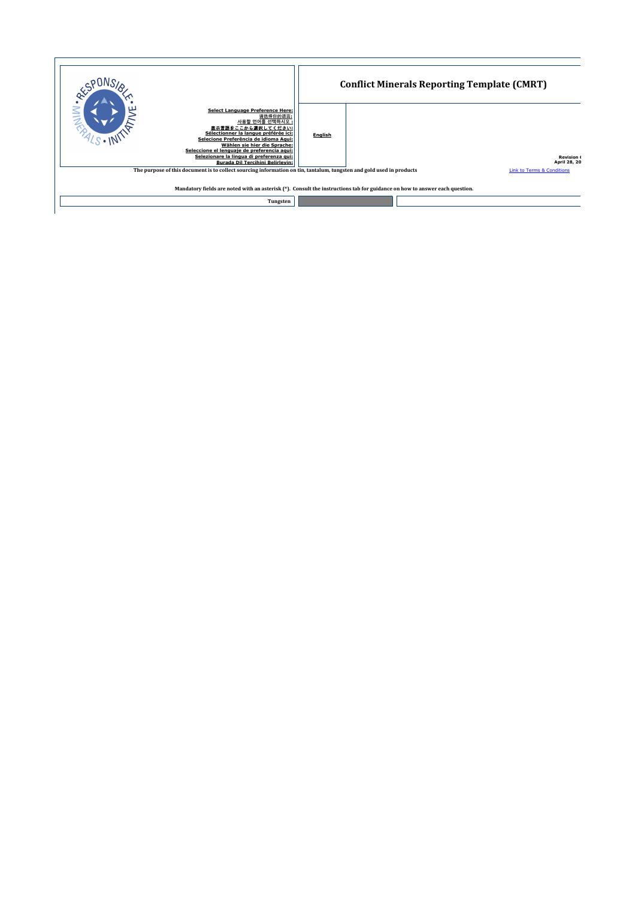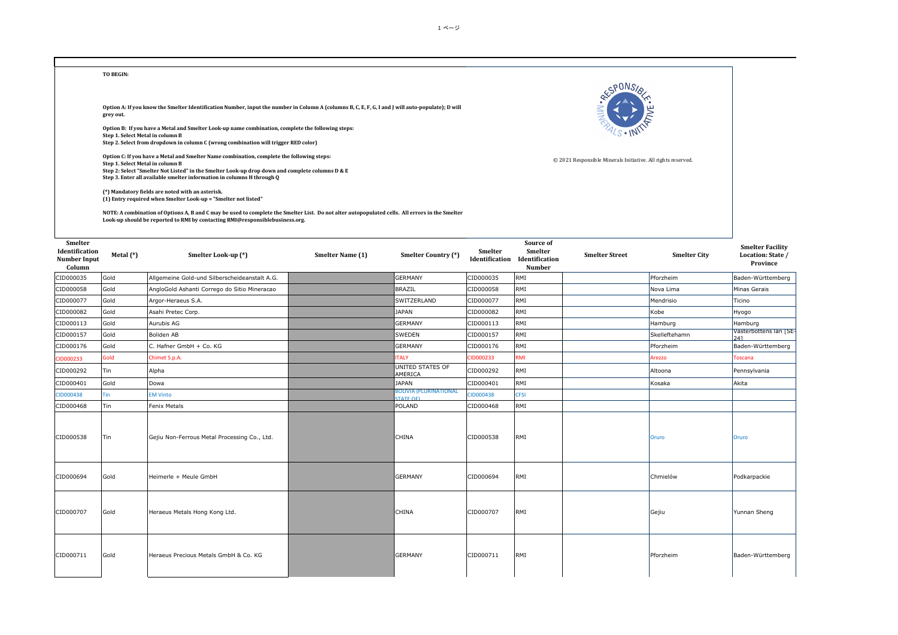

| Smelter<br>Identification<br><b>Number Input</b><br>Column | Metal (*)  | Smelter Look-up (*)                           | Smelter Name (1) | Smelter Country (*)                        | Smelter<br>Identification | Source of<br>Smelter<br>Identification<br><b>Number</b> | <b>Smelter Street</b> | <b>Smelter City</b> | <b>Smelter Facility</b><br>Location: State /<br>Province |
|------------------------------------------------------------|------------|-----------------------------------------------|------------------|--------------------------------------------|---------------------------|---------------------------------------------------------|-----------------------|---------------------|----------------------------------------------------------|
| CID000035                                                  | Gold       | Allgemeine Gold-und Silberscheideanstalt A.G. |                  | <b>GERMANY</b>                             | CID000035                 | RMI                                                     |                       | Pforzheim           | Baden-Württemberg                                        |
| CID000058                                                  | Gold       | AngloGold Ashanti Corrego do Sitio Mineracao  |                  | <b>BRAZIL</b>                              | CID000058                 | RMI                                                     |                       | Nova Lima           | Minas Gerais                                             |
| CID000077                                                  | Gold       | Argor-Heraeus S.A.                            |                  | SWITZERLAND                                | CID000077                 | RMI                                                     |                       | Mendrisio           | Ticino                                                   |
| CID000082                                                  | Gold       | Asahi Pretec Corp.                            |                  | <b>JAPAN</b>                               | CID000082                 | RMI                                                     |                       | Kobe                | Hyogo                                                    |
| CID000113                                                  | Gold       | Aurubis AG                                    |                  | <b>GERMANY</b>                             | CID000113                 | RMI                                                     |                       | Hamburg             | Hamburg                                                  |
| CID000157                                                  | Gold       | Boliden AB                                    |                  | <b>SWEDEN</b>                              | CID000157                 | RMI                                                     |                       | Skelleftehamn       | Västerbottens län [SE-<br>241                            |
| CID000176                                                  | Gold       | C. Hafner GmbH + Co. KG                       |                  | <b>GERMANY</b>                             | CID000176                 | RMI                                                     |                       | Pforzheim           | Baden-Württemberg                                        |
| CID000233                                                  | Gold       | Chimet S.p.A.                                 |                  | <b>ITALY</b>                               | CID000233                 | <b>RMI</b>                                              |                       | Arezzo              | Toscana                                                  |
| CID000292                                                  | Tin        | Alpha                                         |                  | <b>UNITED STATES OF</b><br>AMERICA         | CID000292                 | RMI                                                     |                       | Altoona             | Pennsylvania                                             |
| CID000401                                                  | Gold       | Dowa                                          |                  | <b>JAPAN</b>                               | CID000401                 | RMI                                                     |                       | Kosaka              | Akita                                                    |
| CID000438                                                  | <b>Tin</b> | <b>EM Vinto</b>                               |                  | BOLIVIA (PLURINATIONAL<br><b>STATE OFI</b> | CID000438                 | <b>CFSI</b>                                             |                       |                     |                                                          |
| CID000468                                                  | Tin        | <b>Fenix Metals</b>                           |                  | POLAND                                     | CID000468                 | RMI                                                     |                       |                     |                                                          |
| CID000538                                                  | Tin        | Gejiu Non-Ferrous Metal Processing Co., Ltd.  |                  | CHINA                                      | CID000538                 | RMI                                                     |                       | Oruro               | Oruro                                                    |
| CID000694                                                  | Gold       | Heimerle + Meule GmbH                         |                  | <b>GERMANY</b>                             | CID000694                 | RMI                                                     |                       | Chmielów            | Podkarpackie                                             |
| CID000707                                                  | Gold       | Heraeus Metals Hong Kong Ltd.                 |                  | CHINA                                      | CID000707                 | RMI                                                     |                       | Gejiu               | Yunnan Sheng                                             |
| CID000711                                                  | Gold       | Heraeus Precious Metals GmbH & Co. KG         |                  | <b>GERMANY</b>                             | CID000711                 | RMI                                                     |                       | Pforzheim           | Baden-Württemberg                                        |

1 ページ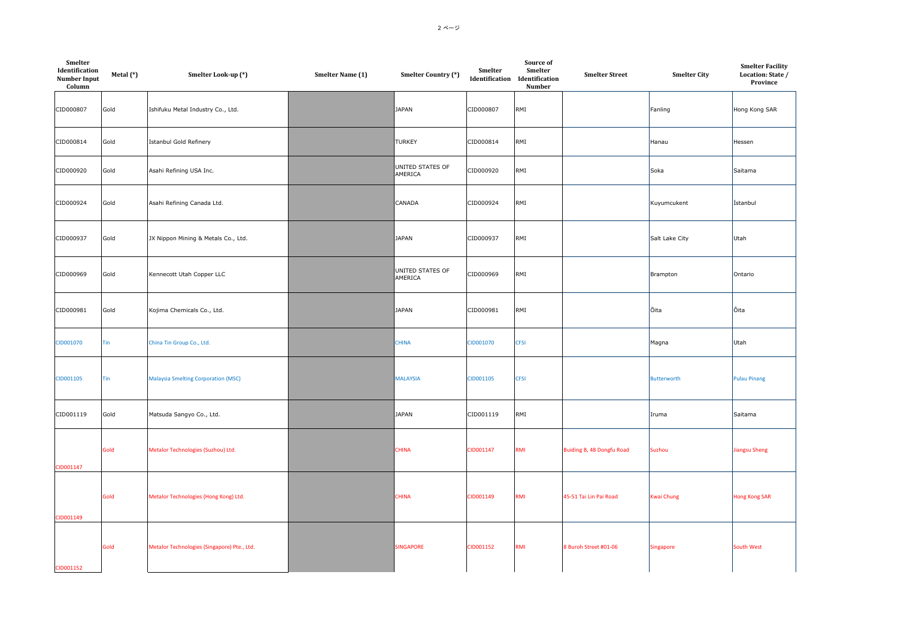| Smelter<br>Identification<br><b>Number Input</b><br>Column | Metal (*) | Smelter Look-up (*)                         | Smelter Name (1) | Smelter Country (*)         | Smelter   | Source of<br>Smelter<br>Identification Identification<br>Number | <b>Smelter Street</b>     | <b>Smelter City</b> | <b>Smelter Facility</b><br>Location: State /<br>Province |
|------------------------------------------------------------|-----------|---------------------------------------------|------------------|-----------------------------|-----------|-----------------------------------------------------------------|---------------------------|---------------------|----------------------------------------------------------|
| CID000807                                                  | Gold      | Ishifuku Metal Industry Co., Ltd.           |                  | <b>JAPAN</b>                | CID000807 | RMI                                                             |                           | Fanling             | Hong Kong SAR                                            |
| CID000814                                                  | Gold      | Istanbul Gold Refinery                      |                  | <b>TURKEY</b>               | CID000814 | RMI                                                             |                           | Hanau               | Hessen                                                   |
| CID000920                                                  | Gold      | Asahi Refining USA Inc.                     |                  | UNITED STATES OF<br>AMERICA | CID000920 | RMI                                                             |                           | Soka                | Saitama                                                  |
| CID000924                                                  | Gold      | Asahi Refining Canada Ltd.                  |                  | CANADA                      | CID000924 | RMI                                                             |                           | Kuyumcukent         | İstanbul                                                 |
| CID000937                                                  | Gold      | JX Nippon Mining & Metals Co., Ltd.         |                  | <b>JAPAN</b>                | CID000937 | RMI                                                             |                           | Salt Lake City      | Utah                                                     |
| CID000969                                                  | Gold      | Kennecott Utah Copper LLC                   |                  | UNITED STATES OF<br>AMERICA | CID000969 | RMI                                                             |                           | Brampton            | Ontario                                                  |
| CID000981                                                  | Gold      | Kojima Chemicals Co., Ltd.                  |                  | <b>JAPAN</b>                | CID000981 | RMI                                                             |                           | Ōita                | Ôita                                                     |
| CID001070                                                  | Tin       | China Tin Group Co., Ltd.                   |                  | <b>CHINA</b>                | CID001070 | <b>CFSI</b>                                                     |                           | Magna               | Utah                                                     |
| CID001105                                                  | Tin       | <b>Malaysia Smelting Corporation (MSC)</b>  |                  | <b>MALAYSIA</b>             | CID001105 | <b>CFSI</b>                                                     |                           | <b>Butterworth</b>  | <b>Pulau Pinang</b>                                      |
| CID001119                                                  | Gold      | Matsuda Sangyo Co., Ltd.                    |                  | <b>JAPAN</b>                | CID001119 | RMI                                                             |                           | Iruma               | Saitama                                                  |
| CID001147                                                  | Gold      | Metalor Technologies (Suzhou) Ltd.          |                  | <b>CHINA</b>                | CID001147 | <b>RMI</b>                                                      | Buiding B, 48 Dongfu Road | Suzhou              | <b>Jiangsu Sheng</b>                                     |
| CID001149                                                  | Gold      | Metalor Technologies (Hong Kong) Ltd.       |                  | <b>CHINA</b>                | CID001149 | <b>RMI</b>                                                      | 45-51 Tai Lin Pai Road    | <b>Kwai Chung</b>   | <b>Hong Kong SAR</b>                                     |
| CID001152                                                  | Gold      | Metalor Technologies (Singapore) Pte., Ltd. |                  | <b>SINGAPORE</b>            | CID001152 | <b>RMI</b>                                                      | 8 Buroh Street #01-06     | <b>Singapore</b>    | South West                                               |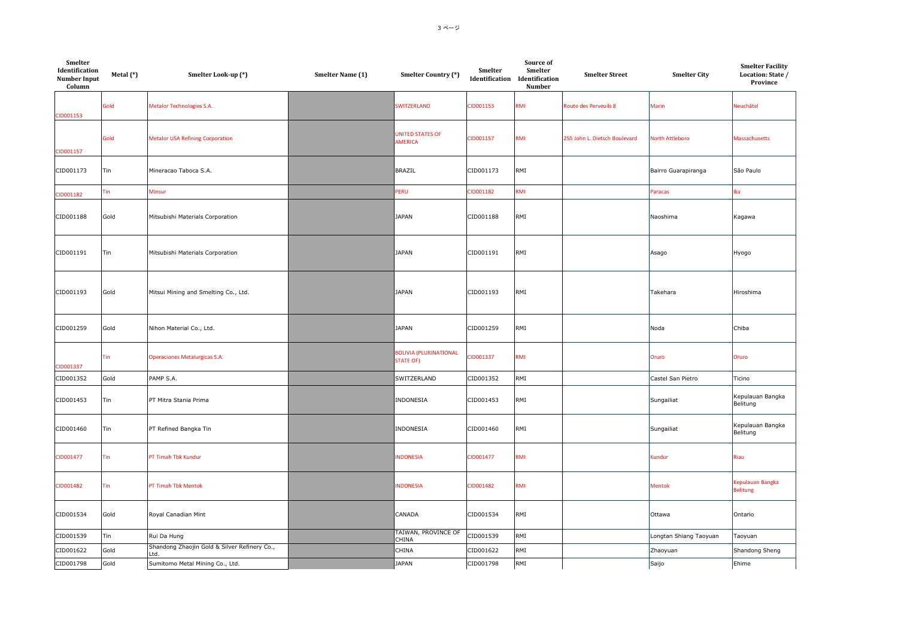| Smelter<br>Identification<br><b>Number Input</b><br>Column | Metal (*) | Smelter Look-up (*)                                  | Smelter Name (1) | Smelter Country (*)                               | Smelter   | Source of<br>Smelter<br>Identification Identification<br>Number | <b>Smelter Street</b>         | <b>Smelter City</b>    | <b>Smelter Facility</b><br>Location: State /<br>Province |
|------------------------------------------------------------|-----------|------------------------------------------------------|------------------|---------------------------------------------------|-----------|-----------------------------------------------------------------|-------------------------------|------------------------|----------------------------------------------------------|
| CID001153                                                  | Gold      | Metalor Technologies S.A.                            |                  | <b>SWITZERLAND</b>                                | CID001153 | RMI                                                             | <b>Route des Perveuils 8</b>  | Marin                  | Neuchâtel                                                |
| CID001157                                                  | Gold      | <b>Metalor USA Refining Corporation</b>              |                  | <b>JNITED STATES OF</b><br>AMERICA                | CID001157 | RMI                                                             | 255 John L. Dietsch Boulevard | <b>North Attleboro</b> | Massachusetts                                            |
| CID001173                                                  | Tin       | Mineracao Taboca S.A.                                |                  | <b>BRAZIL</b>                                     | CID001173 | RMI                                                             |                               | Bairro Guarapiranga    | São Paulo                                                |
| CID001182                                                  | Tin       | Minsur                                               |                  | <b>ERU</b>                                        | CID001182 | RMI                                                             |                               | Paracas                | lka                                                      |
| CID001188                                                  | Gold      | Mitsubishi Materials Corporation                     |                  | <b>JAPAN</b>                                      | CID001188 | RMI                                                             |                               | Naoshima               | Kagawa                                                   |
| CID001191                                                  | Tin       | Mitsubishi Materials Corporation                     |                  | <b>JAPAN</b>                                      | CID001191 | RMI                                                             |                               | Asago                  | Hyogo                                                    |
| CID001193                                                  | Gold      | Mitsui Mining and Smelting Co., Ltd.                 |                  | <b>JAPAN</b>                                      | CID001193 | RMI                                                             |                               | Takehara               | Hiroshima                                                |
| CID001259                                                  | Gold      | Nihon Material Co., Ltd.                             |                  | <b>JAPAN</b>                                      | CID001259 | RMI                                                             |                               | Noda                   | Chiba                                                    |
| CID001337                                                  | Tin       | Operaciones Metalurgicas S.A.                        |                  | <b>BOLIVIA (PLURINATIONAL</b><br><b>STATE OF)</b> | CID001337 | RMI                                                             |                               | Oruro                  | Oruro                                                    |
| CID001352                                                  | Gold      | PAMP S.A.                                            |                  | SWITZERLAND                                       | CID001352 | RMI                                                             |                               | Castel San Pietro      | Ticino                                                   |
| CID001453                                                  | Tin       | PT Mitra Stania Prima                                |                  | INDONESIA                                         | CID001453 | RMI                                                             |                               | Sungailiat             | Kepulauan Bangka<br>Belitung                             |
| CID001460                                                  | Tin       | PT Refined Bangka Tin                                |                  | INDONESIA                                         | CID001460 | RMI                                                             |                               | Sungailiat             | Kepulauan Bangka<br>Belitung                             |
| CID001477                                                  | Tin       | PT Timah Tbk Kundur                                  |                  | <b>INDONESIA</b>                                  | CID001477 | RMI                                                             |                               | <b>Kundur</b>          | Riau                                                     |
| CID001482                                                  | Tin       | PT Timah Tbk Mentok                                  |                  | <b>INDONESIA</b>                                  | CID001482 | RMI                                                             |                               | Mentok                 | Kepulauan Bangka<br><b>Belitung</b>                      |
| CID001534                                                  | Gold      | Royal Canadian Mint                                  |                  | CANADA                                            | CID001534 | RMI                                                             |                               | Ottawa                 | Ontario                                                  |
| CID001539                                                  | Tin       | Rui Da Hung                                          |                  | TAIWAN, PROVINCE OF<br>CHINA                      | CID001539 | RMI                                                             |                               | Longtan Shiang Taoyuan | Taoyuan                                                  |
| CID001622                                                  | Gold      | Shandong Zhaojin Gold & Silver Refinery Co.,<br>Ltd. |                  | CHINA                                             | CID001622 | RMI                                                             |                               | Zhaoyuan               | Shandong Sheng                                           |
| CID001798                                                  | Gold      | Sumitomo Metal Mining Co., Ltd.                      |                  | <b>JAPAN</b>                                      | CID001798 | RMI                                                             |                               | Saijo                  | Ehime                                                    |